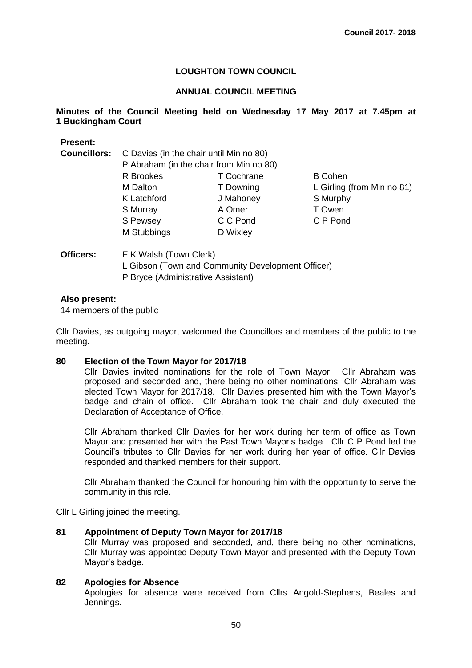**\_\_\_\_\_\_\_\_\_\_\_\_\_\_\_\_\_\_\_\_\_\_\_\_\_\_\_\_\_\_\_\_\_\_\_\_\_\_\_\_\_\_\_\_\_\_\_\_\_\_\_\_\_\_\_\_\_\_\_\_\_\_\_\_\_\_\_\_\_\_\_\_\_\_\_\_\_\_\_\_\_**

# **ANNUAL COUNCIL MEETING**

# **Minutes of the Council Meeting held on Wednesday 17 May 2017 at 7.45pm at 1 Buckingham Court**

# **Present: Councillors:** C Davies (in the chair until Min no 80) P Abraham (in the chair from Min no 80) R Brookes T Cochrane B Cohen M Dalton **T** Downing L Girling (from Min no 81) K Latchford J Mahoney S Murphy S Murray **A Omer** T Owen S Pewsey C C Pond C P Pond M Stubbings D Wixley

# **Officers:** E K Walsh (Town Clerk) L Gibson (Town and Community Development Officer) P Bryce (Administrative Assistant)

### **Also present:**

14 members of the public

Cllr Davies, as outgoing mayor, welcomed the Councillors and members of the public to the meeting.

### **80 Election of the Town Mayor for 2017/18**

Cllr Davies invited nominations for the role of Town Mayor. Cllr Abraham was proposed and seconded and, there being no other nominations, Cllr Abraham was elected Town Mayor for 2017/18. Cllr Davies presented him with the Town Mayor's badge and chain of office. Cllr Abraham took the chair and duly executed the Declaration of Acceptance of Office.

Cllr Abraham thanked Cllr Davies for her work during her term of office as Town Mayor and presented her with the Past Town Mayor's badge. Cllr C P Pond led the Council's tributes to Cllr Davies for her work during her year of office. Cllr Davies responded and thanked members for their support.

Cllr Abraham thanked the Council for honouring him with the opportunity to serve the community in this role.

Cllr L Girling joined the meeting.

#### **81 Appointment of Deputy Town Mayor for 2017/18**

Cllr Murray was proposed and seconded, and, there being no other nominations, Cllr Murray was appointed Deputy Town Mayor and presented with the Deputy Town Mayor's badge.

#### **82 Apologies for Absence**

Apologies for absence were received from Cllrs Angold-Stephens, Beales and Jennings.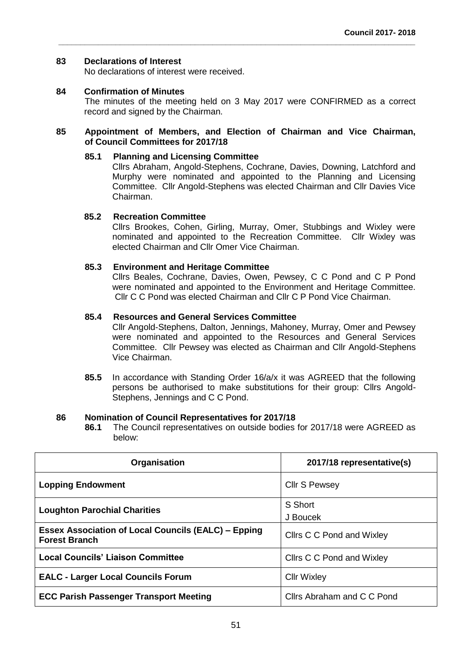# **83 Declarations of Interest**

No declarations of interest were received.

**84 Confirmation of Minutes**

The minutes of the meeting held on 3 May 2017 were CONFIRMED as a correct record and signed by the Chairman.

### **85 Appointment of Members, and Election of Chairman and Vice Chairman, of Council Committees for 2017/18**

**\_\_\_\_\_\_\_\_\_\_\_\_\_\_\_\_\_\_\_\_\_\_\_\_\_\_\_\_\_\_\_\_\_\_\_\_\_\_\_\_\_\_\_\_\_\_\_\_\_\_\_\_\_\_\_\_\_\_\_\_\_\_\_\_\_\_\_\_\_\_\_\_\_\_\_\_\_\_\_\_\_**

#### **85.1 Planning and Licensing Committee**

Cllrs Abraham, Angold-Stephens, Cochrane, Davies, Downing, Latchford and Murphy were nominated and appointed to the Planning and Licensing Committee. Cllr Angold-Stephens was elected Chairman and Cllr Davies Vice Chairman.

# **85.2 Recreation Committee**

Cllrs Brookes, Cohen, Girling, Murray, Omer, Stubbings and Wixley were nominated and appointed to the Recreation Committee. Cllr Wixley was elected Chairman and Cllr Omer Vice Chairman.

# **85.3 Environment and Heritage Committee**

Cllrs Beales, Cochrane, Davies, Owen, Pewsey, C C Pond and C P Pond were nominated and appointed to the Environment and Heritage Committee. Cllr C C Pond was elected Chairman and Cllr C P Pond Vice Chairman.

# **85.4 Resources and General Services Committee**

Cllr Angold-Stephens, Dalton, Jennings, Mahoney, Murray, Omer and Pewsey were nominated and appointed to the Resources and General Services Committee. Cllr Pewsey was elected as Chairman and Cllr Angold-Stephens Vice Chairman.

**85.5** In accordance with Standing Order 16/a/x it was AGREED that the following persons be authorised to make substitutions for their group: Cllrs Angold-Stephens, Jennings and C C Pond.

#### **86 Nomination of Council Representatives for 2017/18**

**86.1** The Council representatives on outside bodies for 2017/18 were AGREED as below:

| Organisation                                                                       | 2017/18 representative(s)  |
|------------------------------------------------------------------------------------|----------------------------|
| <b>Lopping Endowment</b>                                                           | <b>Cllr S Pewsey</b>       |
| <b>Loughton Parochial Charities</b>                                                | S Short                    |
|                                                                                    | J Boucek                   |
| <b>Essex Association of Local Councils (EALC) – Epping</b><br><b>Forest Branch</b> | Cllrs C C Pond and Wixley  |
| <b>Local Councils' Liaison Committee</b>                                           | Cllrs C C Pond and Wixley  |
| <b>EALC - Larger Local Councils Forum</b>                                          | <b>CIIr Wixley</b>         |
| <b>ECC Parish Passenger Transport Meeting</b>                                      | Cllrs Abraham and C C Pond |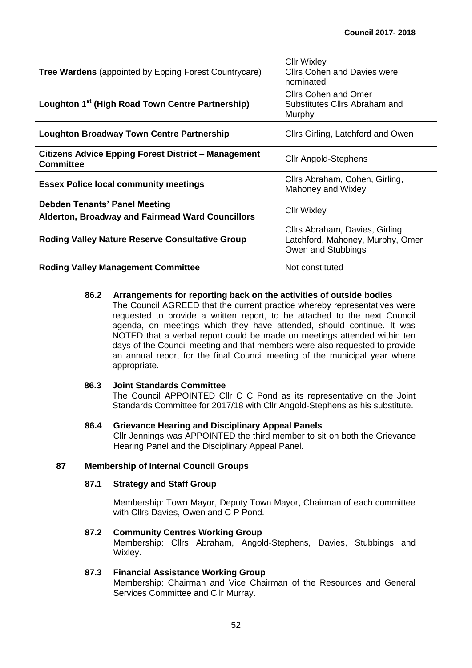| <b>Tree Wardens</b> (appointed by Epping Forest Countrycare)                                    | <b>CIIr Wixley</b><br><b>Clirs Cohen and Davies were</b><br>nominated                      |
|-------------------------------------------------------------------------------------------------|--------------------------------------------------------------------------------------------|
| Loughton 1 <sup>st</sup> (High Road Town Centre Partnership)                                    | <b>Cllrs Cohen and Omer</b><br>Substitutes Cllrs Abraham and<br>Murphy                     |
| <b>Loughton Broadway Town Centre Partnership</b>                                                | Cilrs Girling, Latchford and Owen                                                          |
| <b>Citizens Advice Epping Forest District - Management</b><br><b>Committee</b>                  | <b>CIIr Angold-Stephens</b>                                                                |
| <b>Essex Police local community meetings</b>                                                    | Cllrs Abraham, Cohen, Girling,<br>Mahoney and Wixley                                       |
| <b>Debden Tenants' Panel Meeting</b><br><b>Alderton, Broadway and Fairmead Ward Councillors</b> | <b>CIIr Wixley</b>                                                                         |
| <b>Roding Valley Nature Reserve Consultative Group</b>                                          | Cllrs Abraham, Davies, Girling,<br>Latchford, Mahoney, Murphy, Omer,<br>Owen and Stubbings |
| <b>Roding Valley Management Committee</b>                                                       | Not constituted                                                                            |

**\_\_\_\_\_\_\_\_\_\_\_\_\_\_\_\_\_\_\_\_\_\_\_\_\_\_\_\_\_\_\_\_\_\_\_\_\_\_\_\_\_\_\_\_\_\_\_\_\_\_\_\_\_\_\_\_\_\_\_\_\_\_\_\_\_\_\_\_\_\_\_\_\_\_\_\_\_\_\_\_\_**

# **86.2 Arrangements for reporting back on the activities of outside bodies**

The Council AGREED that the current practice whereby representatives were requested to provide a written report, to be attached to the next Council agenda, on meetings which they have attended, should continue. It was NOTED that a verbal report could be made on meetings attended within ten days of the Council meeting and that members were also requested to provide an annual report for the final Council meeting of the municipal year where appropriate.

#### **86.3 Joint Standards Committee**

The Council APPOINTED Cllr C C Pond as its representative on the Joint Standards Committee for 2017/18 with Cllr Angold-Stephens as his substitute.

# **86.4 Grievance Hearing and Disciplinary Appeal Panels**

Cllr Jennings was APPOINTED the third member to sit on both the Grievance Hearing Panel and the Disciplinary Appeal Panel.

# **87 Membership of Internal Council Groups**

# **87.1 Strategy and Staff Group**

Membership: Town Mayor, Deputy Town Mayor, Chairman of each committee with Cllrs Davies, Owen and C P Pond.

#### **87.2 Community Centres Working Group**

Membership: Cllrs Abraham, Angold-Stephens, Davies, Stubbings and Wixley.

#### **87.3 Financial Assistance Working Group**

Membership: Chairman and Vice Chairman of the Resources and General Services Committee and Cllr Murray.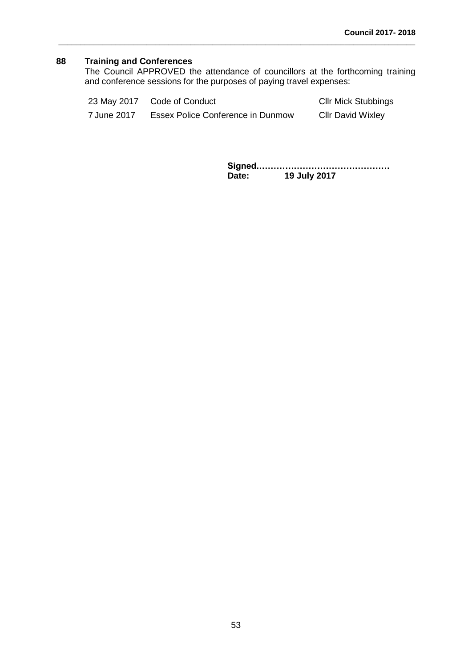# **88 Training and Conferences**

The Council APPROVED the attendance of councillors at the forthcoming training and conference sessions for the purposes of paying travel expenses:

| 23 May 2017 | Code of Conduct                   | <b>CIIr Mick Stubbings</b> |
|-------------|-----------------------------------|----------------------------|
| 7 June 2017 | Essex Police Conference in Dunmow | <b>CIIr David Wixley</b>   |

**\_\_\_\_\_\_\_\_\_\_\_\_\_\_\_\_\_\_\_\_\_\_\_\_\_\_\_\_\_\_\_\_\_\_\_\_\_\_\_\_\_\_\_\_\_\_\_\_\_\_\_\_\_\_\_\_\_\_\_\_\_\_\_\_\_\_\_\_\_\_\_\_\_\_\_\_\_\_\_\_\_**

**Signed.……………………………………… Date: 19 July 2017**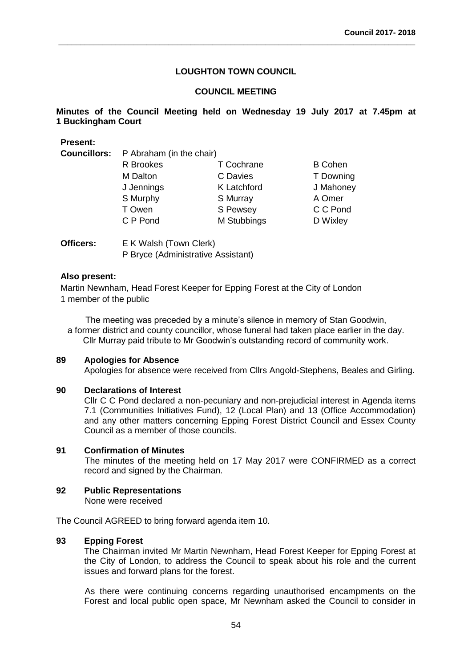**\_\_\_\_\_\_\_\_\_\_\_\_\_\_\_\_\_\_\_\_\_\_\_\_\_\_\_\_\_\_\_\_\_\_\_\_\_\_\_\_\_\_\_\_\_\_\_\_\_\_\_\_\_\_\_\_\_\_\_\_\_\_\_\_\_\_\_\_\_\_\_\_\_\_\_\_\_\_\_\_\_**

# **COUNCIL MEETING**

**Minutes of the Council Meeting held on Wednesday 19 July 2017 at 7.45pm at 1 Buckingham Court**

| <b>Present:</b>     |                          |                    |                |  |
|---------------------|--------------------------|--------------------|----------------|--|
| <b>Councillors:</b> | P Abraham (in the chair) |                    |                |  |
|                     | R Brookes                | T Cochrane         | <b>B</b> Cohen |  |
|                     | M Dalton                 | C Davies           | T Downing      |  |
|                     | J Jennings               | <b>K</b> Latchford | J Mahoney      |  |
|                     | S Murphy                 | S Murray           | A Omer         |  |
|                     | T Owen                   | S Pewsey           | C C Pond       |  |
|                     | C P Pond                 | M Stubbings        | D Wixley       |  |
|                     |                          |                    |                |  |

**Officers:** E K Walsh (Town Clerk) P Bryce (Administrative Assistant)

# **Also present:**

Martin Newnham, Head Forest Keeper for Epping Forest at the City of London 1 member of the public

The meeting was preceded by a minute's silence in memory of Stan Goodwin, a former district and county councillor, whose funeral had taken place earlier in the day. Cllr Murray paid tribute to Mr Goodwin's outstanding record of community work.

### **89 Apologies for Absence**

Apologies for absence were received from Cllrs Angold-Stephens, Beales and Girling.

### **90 Declarations of Interest**

Cllr C C Pond declared a non-pecuniary and non-prejudicial interest in Agenda items 7.1 (Communities Initiatives Fund), 12 (Local Plan) and 13 (Office Accommodation) and any other matters concerning Epping Forest District Council and Essex County Council as a member of those councils.

#### **91 Confirmation of Minutes**

The minutes of the meeting held on 17 May 2017 were CONFIRMED as a correct record and signed by the Chairman.

# **92 Public Representations**

None were received

The Council AGREED to bring forward agenda item 10.

# **93 Epping Forest**

The Chairman invited Mr Martin Newnham, Head Forest Keeper for Epping Forest at the City of London, to address the Council to speak about his role and the current issues and forward plans for the forest.

As there were continuing concerns regarding unauthorised encampments on the Forest and local public open space, Mr Newnham asked the Council to consider in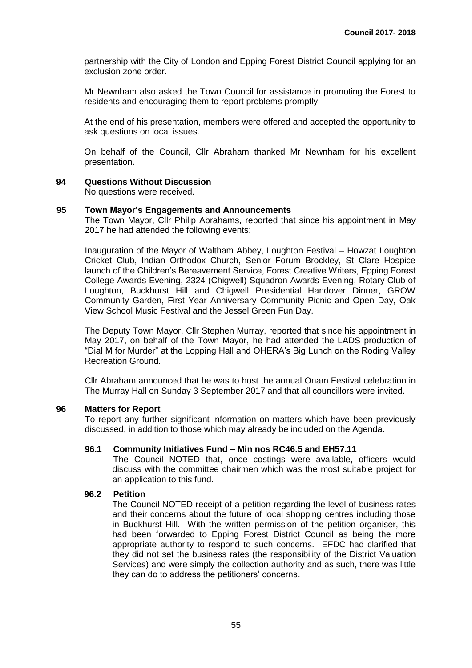partnership with the City of London and Epping Forest District Council applying for an exclusion zone order.

**\_\_\_\_\_\_\_\_\_\_\_\_\_\_\_\_\_\_\_\_\_\_\_\_\_\_\_\_\_\_\_\_\_\_\_\_\_\_\_\_\_\_\_\_\_\_\_\_\_\_\_\_\_\_\_\_\_\_\_\_\_\_\_\_\_\_\_\_\_\_\_\_\_\_\_\_\_\_\_\_\_**

Mr Newnham also asked the Town Council for assistance in promoting the Forest to residents and encouraging them to report problems promptly.

At the end of his presentation, members were offered and accepted the opportunity to ask questions on local issues.

On behalf of the Council, Cllr Abraham thanked Mr Newnham for his excellent presentation.

#### **94 Questions Without Discussion**

No questions were received.

#### **95 Town Mayor's Engagements and Announcements**

The Town Mayor, Cllr Philip Abrahams, reported that since his appointment in May 2017 he had attended the following events:

Inauguration of the Mayor of Waltham Abbey, Loughton Festival – Howzat Loughton Cricket Club, Indian Orthodox Church, Senior Forum Brockley, St Clare Hospice launch of the Children's Bereavement Service, Forest Creative Writers, Epping Forest College Awards Evening, 2324 (Chigwell) Squadron Awards Evening, Rotary Club of Loughton, Buckhurst Hill and Chigwell Presidential Handover Dinner, GROW Community Garden, First Year Anniversary Community Picnic and Open Day, Oak View School Music Festival and the Jessel Green Fun Day.

The Deputy Town Mayor, Cllr Stephen Murray, reported that since his appointment in May 2017, on behalf of the Town Mayor, he had attended the LADS production of "Dial M for Murder" at the Lopping Hall and OHERA's Big Lunch on the Roding Valley Recreation Ground.

Cllr Abraham announced that he was to host the annual Onam Festival celebration in The Murray Hall on Sunday 3 September 2017 and that all councillors were invited.

#### **96 Matters for Report**

To report any further significant information on matters which have been previously discussed, in addition to those which may already be included on the Agenda.

#### **96.1 Community Initiatives Fund – Min nos RC46.5 and EH57.11**

The Council NOTED that, once costings were available, officers would discuss with the committee chairmen which was the most suitable project for an application to this fund.

#### **96.2 Petition**

The Council NOTED receipt of a petition regarding the level of business rates and their concerns about the future of local shopping centres including those in Buckhurst Hill. With the written permission of the petition organiser, this had been forwarded to Epping Forest District Council as being the more appropriate authority to respond to such concerns. EFDC had clarified that they did not set the business rates (the responsibility of the District Valuation Services) and were simply the collection authority and as such, there was little they can do to address the petitioners' concerns**.**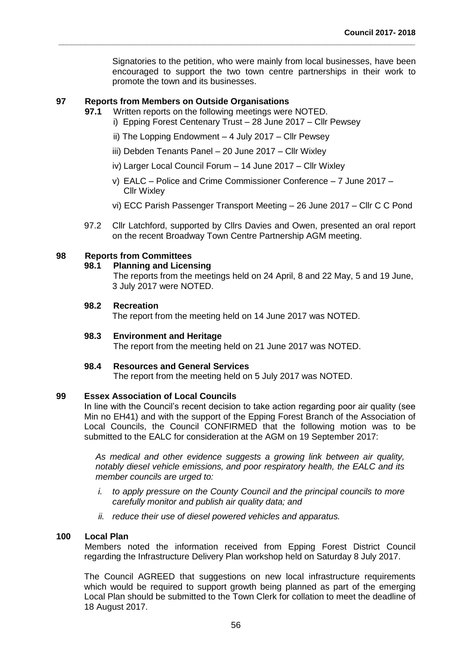Signatories to the petition, who were mainly from local businesses, have been encouraged to support the two town centre partnerships in their work to promote the town and its businesses.

# **97 Reports from Members on Outside Organisations**

- **97.1** Written reports on the following meetings were NOTED.
	- i) Epping Forest Centenary Trust 28 June 2017 Cllr Pewsey

**\_\_\_\_\_\_\_\_\_\_\_\_\_\_\_\_\_\_\_\_\_\_\_\_\_\_\_\_\_\_\_\_\_\_\_\_\_\_\_\_\_\_\_\_\_\_\_\_\_\_\_\_\_\_\_\_\_\_\_\_\_\_\_\_\_\_\_\_\_\_\_\_\_\_\_\_\_\_\_\_\_**

- ii) The Lopping Endowment 4 July 2017 Cllr Pewsey
- iii) Debden Tenants Panel 20 June 2017 Cllr Wixley
- iv) Larger Local Council Forum 14 June 2017 Cllr Wixley
- v) EALC Police and Crime Commissioner Conference 7 June 2017 Cllr Wixley
- vi) ECC Parish Passenger Transport Meeting 26 June 2017 Cllr C C Pond
- 97.2 Cllr Latchford, supported by Cllrs Davies and Owen, presented an oral report on the recent Broadway Town Centre Partnership AGM meeting.

# **98 Reports from Committees**

# **98.1 Planning and Licensing**

The reports from the meetings held on 24 April, 8 and 22 May, 5 and 19 June, 3 July 2017 were NOTED.

# **98.2 Recreation**

The report from the meeting held on 14 June 2017 was NOTED.

### **98.3 Environment and Heritage**

The report from the meeting held on 21 June 2017 was NOTED.

#### **98.4 Resources and General Services**

The report from the meeting held on 5 July 2017 was NOTED.

# **99 Essex Association of Local Councils**

In line with the Council's recent decision to take action regarding poor air quality (see Min no EH41) and with the support of the Epping Forest Branch of the Association of Local Councils, the Council CONFIRMED that the following motion was to be submitted to the EALC for consideration at the AGM on 19 September 2017:

*As medical and other evidence suggests a growing link between air quality, notably diesel vehicle emissions, and poor respiratory health, the EALC and its member councils are urged to:*

- *i. to apply pressure on the County Council and the principal councils to more carefully monitor and publish air quality data; and*
- *ii. reduce their use of diesel powered vehicles and apparatus.*

# **100 Local Plan**

Members noted the information received from Epping Forest District Council regarding the Infrastructure Delivery Plan workshop held on Saturday 8 July 2017.

The Council AGREED that suggestions on new local infrastructure requirements which would be required to support growth being planned as part of the emerging Local Plan should be submitted to the Town Clerk for collation to meet the deadline of 18 August 2017.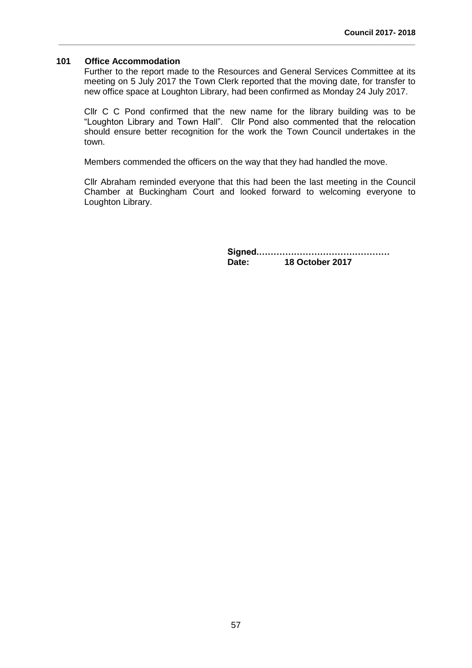### **101 Office Accommodation**

Further to the report made to the Resources and General Services Committee at its meeting on 5 July 2017 the Town Clerk reported that the moving date, for transfer to new office space at Loughton Library, had been confirmed as Monday 24 July 2017.

**\_\_\_\_\_\_\_\_\_\_\_\_\_\_\_\_\_\_\_\_\_\_\_\_\_\_\_\_\_\_\_\_\_\_\_\_\_\_\_\_\_\_\_\_\_\_\_\_\_\_\_\_\_\_\_\_\_\_\_\_\_\_\_\_\_\_\_\_\_\_\_\_\_\_\_\_\_\_\_\_\_**

Cllr C C Pond confirmed that the new name for the library building was to be "Loughton Library and Town Hall". Cllr Pond also commented that the relocation should ensure better recognition for the work the Town Council undertakes in the town.

Members commended the officers on the way that they had handled the move.

Cllr Abraham reminded everyone that this had been the last meeting in the Council Chamber at Buckingham Court and looked forward to welcoming everyone to Loughton Library.

> **Signed.……………………………………… Date: 18 October 2017**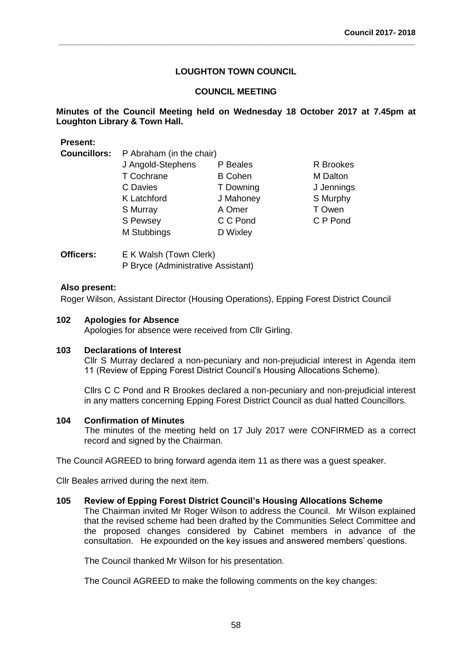**\_\_\_\_\_\_\_\_\_\_\_\_\_\_\_\_\_\_\_\_\_\_\_\_\_\_\_\_\_\_\_\_\_\_\_\_\_\_\_\_\_\_\_\_\_\_\_\_\_\_\_\_\_\_\_\_\_\_\_\_\_\_\_\_\_\_\_\_\_\_\_\_\_\_\_\_\_\_\_\_\_**

# **COUNCIL MEETING**

# **Minutes of the Council Meeting held on Wednesday 18 October 2017 at 7.45pm at Loughton Library & Town Hall.**

# **Present:**

**Councillors:** P Abraham (in the chair)

| J Angold-Stephens | P Beales       | R Brookes  |
|-------------------|----------------|------------|
| T Cochrane        | <b>B</b> Cohen | M Dalton   |
| C Davies          | T Downing      | J Jennings |
| K Latchford       | J Mahoney      | S Murphy   |
| S Murray          | A Omer         | T Owen     |
| S Pewsey          | C C Pond       | C P Pond   |
| M Stubbings       | D Wixley       |            |
|                   |                |            |

| Officers: | E K Walsh (Town Clerk)             |
|-----------|------------------------------------|
|           | P Bryce (Administrative Assistant) |

# **Also present:**

Roger Wilson, Assistant Director (Housing Operations), Epping Forest District Council

# **102 Apologies for Absence**

Apologies for absence were received from Cllr Girling.

#### **103 Declarations of Interest**

Cllr S Murray declared a non-pecuniary and non-prejudicial interest in Agenda item 11 (Review of Epping Forest District Council's Housing Allocations Scheme).

Cllrs C C Pond and R Brookes declared a non-pecuniary and non-prejudicial interest in any matters concerning Epping Forest District Council as dual hatted Councillors.

#### **104 Confirmation of Minutes**

The minutes of the meeting held on 17 July 2017 were CONFIRMED as a correct record and signed by the Chairman.

The Council AGREED to bring forward agenda item 11 as there was a guest speaker.

Cllr Beales arrived during the next item.

#### **105 Review of Epping Forest District Council's Housing Allocations Scheme**

The Chairman invited Mr Roger Wilson to address the Council. Mr Wilson explained that the revised scheme had been drafted by the Communities Select Committee and the proposed changes considered by Cabinet members in advance of the consultation. He expounded on the key issues and answered members' questions.

The Council thanked Mr Wilson for his presentation.

The Council AGREED to make the following comments on the key changes: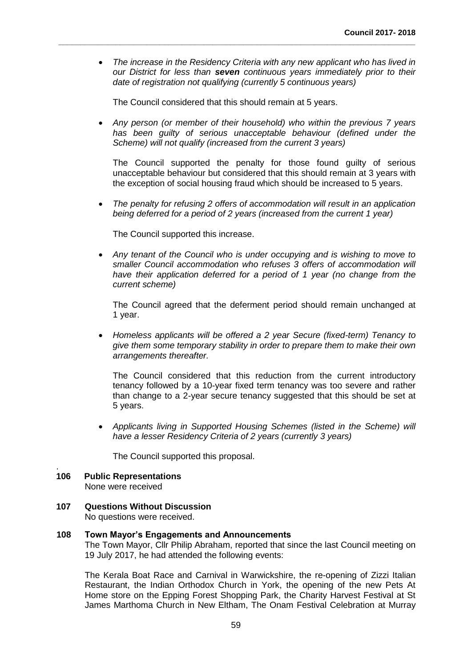*The increase in the Residency Criteria with any new applicant who has lived in our District for less than seven continuous years immediately prior to their date of registration not qualifying (currently 5 continuous years)* 

The Council considered that this should remain at 5 years.

**\_\_\_\_\_\_\_\_\_\_\_\_\_\_\_\_\_\_\_\_\_\_\_\_\_\_\_\_\_\_\_\_\_\_\_\_\_\_\_\_\_\_\_\_\_\_\_\_\_\_\_\_\_\_\_\_\_\_\_\_\_\_\_\_\_\_\_\_\_\_\_\_\_\_\_\_\_\_\_\_\_**

 *Any person (or member of their household) who within the previous 7 years has been guilty of serious unacceptable behaviour (defined under the Scheme) will not qualify (increased from the current 3 years)*

The Council supported the penalty for those found guilty of serious unacceptable behaviour but considered that this should remain at 3 years with the exception of social housing fraud which should be increased to 5 years.

 *The penalty for refusing 2 offers of accommodation will result in an application being deferred for a period of 2 years (increased from the current 1 year)*

The Council supported this increase.

 *Any tenant of the Council who is under occupying and is wishing to move to smaller Council accommodation who refuses 3 offers of accommodation will have their application deferred for a period of 1 year (no change from the current scheme)*

The Council agreed that the deferment period should remain unchanged at 1 year.

 *Homeless applicants will be offered a 2 year Secure (fixed-term) Tenancy to give them some temporary stability in order to prepare them to make their own arrangements thereafter.*

The Council considered that this reduction from the current introductory tenancy followed by a 10-year fixed term tenancy was too severe and rather than change to a 2-year secure tenancy suggested that this should be set at 5 years.

 *Applicants living in Supported Housing Schemes (listed in the Scheme) will have a lesser Residency Criteria of 2 years (currently 3 years)*

The Council supported this proposal.

# **106 Public Representations**

.

None were received

**107 Questions Without Discussion** No questions were received.

#### **108 Town Mayor's Engagements and Announcements**

The Town Mayor, Cllr Philip Abraham, reported that since the last Council meeting on 19 July 2017, he had attended the following events:

The Kerala Boat Race and Carnival in Warwickshire, the re-opening of Zizzi Italian Restaurant, the Indian Orthodox Church in York, the opening of the new Pets At Home store on the Epping Forest Shopping Park, the Charity Harvest Festival at St James Marthoma Church in New Eltham, The Onam Festival Celebration at Murray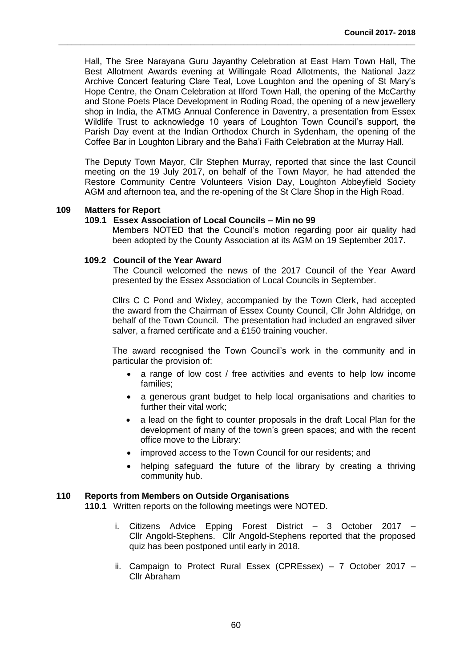Hall, The Sree Narayana Guru Jayanthy Celebration at East Ham Town Hall, The Best Allotment Awards evening at Willingale Road Allotments, the National Jazz Archive Concert featuring Clare Teal, Love Loughton and the opening of St Mary's Hope Centre, the Onam Celebration at Ilford Town Hall, the opening of the McCarthy and Stone Poets Place Development in Roding Road, the opening of a new jewellery shop in India, the ATMG Annual Conference in Daventry, a presentation from Essex Wildlife Trust to acknowledge 10 years of Loughton Town Council's support, the Parish Day event at the Indian Orthodox Church in Sydenham, the opening of the Coffee Bar in Loughton Library and the Baha'i Faith Celebration at the Murray Hall.

**\_\_\_\_\_\_\_\_\_\_\_\_\_\_\_\_\_\_\_\_\_\_\_\_\_\_\_\_\_\_\_\_\_\_\_\_\_\_\_\_\_\_\_\_\_\_\_\_\_\_\_\_\_\_\_\_\_\_\_\_\_\_\_\_\_\_\_\_\_\_\_\_\_\_\_\_\_\_\_\_\_**

The Deputy Town Mayor, Cllr Stephen Murray, reported that since the last Council meeting on the 19 July 2017, on behalf of the Town Mayor, he had attended the Restore Community Centre Volunteers Vision Day, Loughton Abbeyfield Society AGM and afternoon tea, and the re-opening of the St Clare Shop in the High Road.

# **109 Matters for Report**

#### **109.1 Essex Association of Local Councils – Min no 99**

Members NOTED that the Council's motion regarding poor air quality had been adopted by the County Association at its AGM on 19 September 2017.

#### **109.2 Council of the Year Award**

The Council welcomed the news of the 2017 Council of the Year Award presented by the Essex Association of Local Councils in September.

Cllrs C C Pond and Wixley, accompanied by the Town Clerk, had accepted the award from the Chairman of Essex County Council, Cllr John Aldridge, on behalf of the Town Council. The presentation had included an engraved silver salver, a framed certificate and a £150 training voucher.

The award recognised the Town Council's work in the community and in particular the provision of:

- a range of low cost / free activities and events to help low income families;
- a generous grant budget to help local organisations and charities to further their vital work;
- a lead on the fight to counter proposals in the draft Local Plan for the development of many of the town's green spaces; and with the recent office move to the Library:
- improved access to the Town Council for our residents; and
- helping safeguard the future of the library by creating a thriving community hub.

#### **110 Reports from Members on Outside Organisations**

**110.1** Written reports on the following meetings were NOTED.

- i. Citizens Advice Epping Forest District 3 October 2017 Cllr Angold-Stephens. Cllr Angold-Stephens reported that the proposed quiz has been postponed until early in 2018.
- ii. Campaign to Protect Rural Essex (CPREssex) 7 October 2017 Cllr Abraham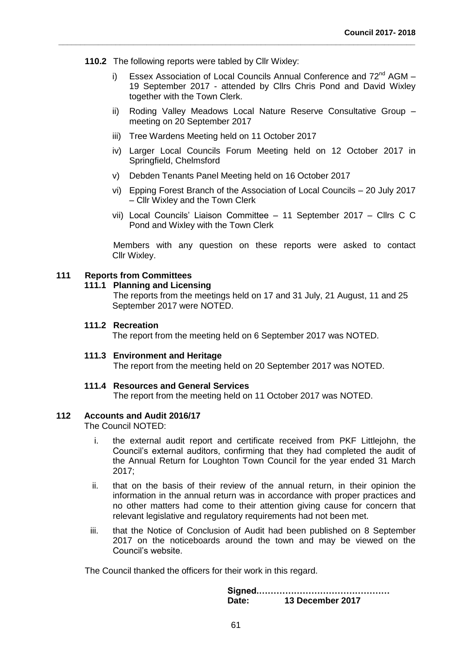- **110.2** The following reports were tabled by Cllr Wixley:
	- i) Essex Association of Local Councils Annual Conference and  $72<sup>nd</sup>$  AGM 19 September 2017 - attended by Cllrs Chris Pond and David Wixley together with the Town Clerk.
	- ii) Roding Valley Meadows Local Nature Reserve Consultative Group meeting on 20 September 2017
	- iii) Tree Wardens Meeting held on 11 October 2017
	- iv) Larger Local Councils Forum Meeting held on 12 October 2017 in Springfield, Chelmsford
	- v) Debden Tenants Panel Meeting held on 16 October 2017

**\_\_\_\_\_\_\_\_\_\_\_\_\_\_\_\_\_\_\_\_\_\_\_\_\_\_\_\_\_\_\_\_\_\_\_\_\_\_\_\_\_\_\_\_\_\_\_\_\_\_\_\_\_\_\_\_\_\_\_\_\_\_\_\_\_\_\_\_\_\_\_\_\_\_\_\_\_\_\_\_\_**

- vi) Epping Forest Branch of the Association of Local Councils 20 July 2017 – Cllr Wixley and the Town Clerk
- vii) Local Councils' Liaison Committee 11 September 2017 Cllrs C C Pond and Wixley with the Town Clerk

Members with any question on these reports were asked to contact Cllr Wixley.

# **111 Reports from Committees**

#### **111.1 Planning and Licensing**

The reports from the meetings held on 17 and 31 July, 21 August, 11 and 25 September 2017 were NOTED.

### **111.2 Recreation**

The report from the meeting held on 6 September 2017 was NOTED.

#### **111.3 Environment and Heritage**

The report from the meeting held on 20 September 2017 was NOTED.

#### **111.4 Resources and General Services**

The report from the meeting held on 11 October 2017 was NOTED.

#### **112 Accounts and Audit 2016/17**

The Council NOTED:

- i. the external audit report and certificate received from PKF Littlejohn, the Council's external auditors, confirming that they had completed the audit of the Annual Return for Loughton Town Council for the year ended 31 March 2017;
- ii. that on the basis of their review of the annual return, in their opinion the information in the annual return was in accordance with proper practices and no other matters had come to their attention giving cause for concern that relevant legislative and regulatory requirements had not been met.
- iii. that the Notice of Conclusion of Audit had been published on 8 September 2017 on the noticeboards around the town and may be viewed on the Council's website.

The Council thanked the officers for their work in this regard.

**Signed.……………………………………… Date: 13 December 2017**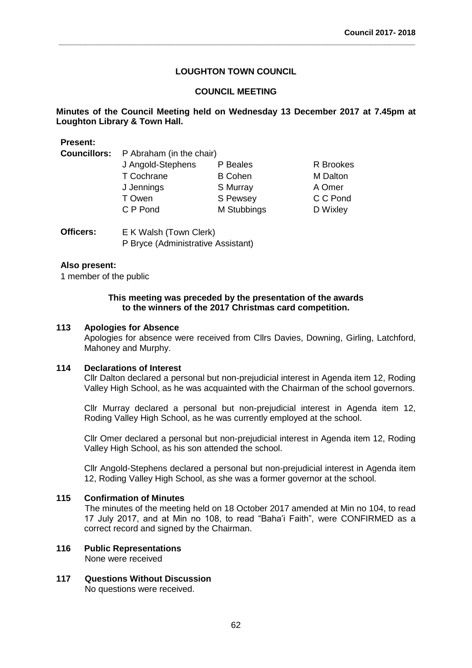**\_\_\_\_\_\_\_\_\_\_\_\_\_\_\_\_\_\_\_\_\_\_\_\_\_\_\_\_\_\_\_\_\_\_\_\_\_\_\_\_\_\_\_\_\_\_\_\_\_\_\_\_\_\_\_\_\_\_\_\_\_\_\_\_\_\_\_\_\_\_\_\_\_\_\_\_\_\_\_\_\_**

# **COUNCIL MEETING**

# **Minutes of the Council Meeting held on Wednesday 13 December 2017 at 7.45pm at Loughton Library & Town Hall.**

| <b>Present:</b>     |                          |                |                 |  |
|---------------------|--------------------------|----------------|-----------------|--|
| <b>Councillors:</b> | P Abraham (in the chair) |                |                 |  |
|                     | J Angold-Stephens        | P Beales       | R Brookes       |  |
|                     | T Cochrane               | <b>B</b> Cohen | <b>M</b> Dalton |  |
|                     | J Jennings               | S Murray       | A Omer          |  |
|                     | T Owen                   | S Pewsey       | C C Pond        |  |
|                     | C P Pond                 | M Stubbings    | D Wixley        |  |
|                     |                          |                |                 |  |
|                     |                          |                |                 |  |

| Officers: | E K Walsh (Town Clerk)             |
|-----------|------------------------------------|
|           | P Bryce (Administrative Assistant) |

## **Also present:**

1 member of the public

#### **This meeting was preceded by the presentation of the awards to the winners of the 2017 Christmas card competition.**

#### **113 Apologies for Absence**

Apologies for absence were received from Cllrs Davies, Downing, Girling, Latchford, Mahoney and Murphy.

#### **114 Declarations of Interest**

Cllr Dalton declared a personal but non-prejudicial interest in Agenda item 12, Roding Valley High School, as he was acquainted with the Chairman of the school governors.

Cllr Murray declared a personal but non-prejudicial interest in Agenda item 12, Roding Valley High School, as he was currently employed at the school.

Cllr Omer declared a personal but non-prejudicial interest in Agenda item 12, Roding Valley High School, as his son attended the school.

Cllr Angold-Stephens declared a personal but non-prejudicial interest in Agenda item 12, Roding Valley High School, as she was a former governor at the school.

#### **115 Confirmation of Minutes**

The minutes of the meeting held on 18 October 2017 amended at Min no 104, to read 17 July 2017, and at Min no 108, to read "Baha'i Faith", were CONFIRMED as a correct record and signed by the Chairman.

# **116 Public Representations**

None were received

**117 Questions Without Discussion** No questions were received.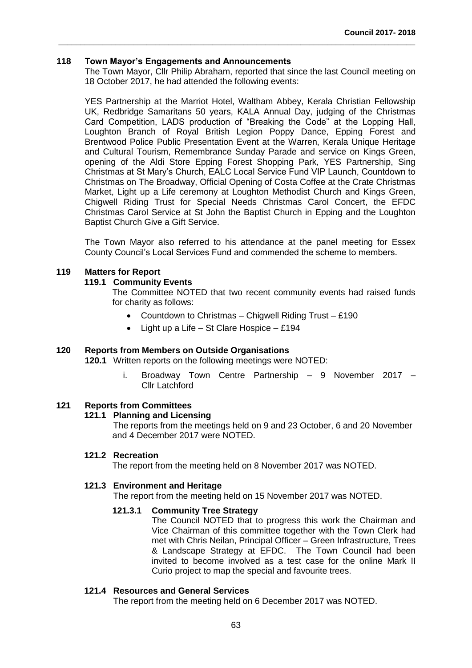# **118 Town Mayor's Engagements and Announcements**

The Town Mayor, Cllr Philip Abraham, reported that since the last Council meeting on 18 October 2017, he had attended the following events:

**\_\_\_\_\_\_\_\_\_\_\_\_\_\_\_\_\_\_\_\_\_\_\_\_\_\_\_\_\_\_\_\_\_\_\_\_\_\_\_\_\_\_\_\_\_\_\_\_\_\_\_\_\_\_\_\_\_\_\_\_\_\_\_\_\_\_\_\_\_\_\_\_\_\_\_\_\_\_\_\_\_**

YES Partnership at the Marriot Hotel, Waltham Abbey, Kerala Christian Fellowship UK, Redbridge Samaritans 50 years, KALA Annual Day, judging of the Christmas Card Competition, LADS production of "Breaking the Code" at the Lopping Hall, Loughton Branch of Royal British Legion Poppy Dance, Epping Forest and Brentwood Police Public Presentation Event at the Warren, Kerala Unique Heritage and Cultural Tourism, Remembrance Sunday Parade and service on Kings Green, opening of the Aldi Store Epping Forest Shopping Park, YES Partnership, Sing Christmas at St Mary's Church, EALC Local Service Fund VIP Launch, Countdown to Christmas on The Broadway, Official Opening of Costa Coffee at the Crate Christmas Market, Light up a Life ceremony at Loughton Methodist Church and Kings Green, Chigwell Riding Trust for Special Needs Christmas Carol Concert, the EFDC Christmas Carol Service at St John the Baptist Church in Epping and the Loughton Baptist Church Give a Gift Service.

The Town Mayor also referred to his attendance at the panel meeting for Essex County Council's Local Services Fund and commended the scheme to members.

#### **119 Matters for Report**

#### **119.1 Community Events**

The Committee NOTED that two recent community events had raised funds for charity as follows:

- Countdown to Christmas Chigwell Riding Trust £190
- Light up a Life St Clare Hospice £194

### **120 Reports from Members on Outside Organisations**

**120.1** Written reports on the following meetings were NOTED:

i. Broadway Town Centre Partnership – 9 November 2017 – Cllr Latchford

# **121 Reports from Committees**

#### **121.1 Planning and Licensing**

The reports from the meetings held on 9 and 23 October, 6 and 20 November and 4 December 2017 were NOTED.

#### **121.2 Recreation**

The report from the meeting held on 8 November 2017 was NOTED.

#### **121.3 Environment and Heritage**

The report from the meeting held on 15 November 2017 was NOTED.

#### **121.3.1 Community Tree Strategy**

The Council NOTED that to progress this work the Chairman and Vice Chairman of this committee together with the Town Clerk had met with Chris Neilan, Principal Officer – Green Infrastructure, Trees & Landscape Strategy at EFDC. The Town Council had been invited to become involved as a test case for the online Mark II Curio project to map the special and favourite trees.

#### **121.4 Resources and General Services**

The report from the meeting held on 6 December 2017 was NOTED.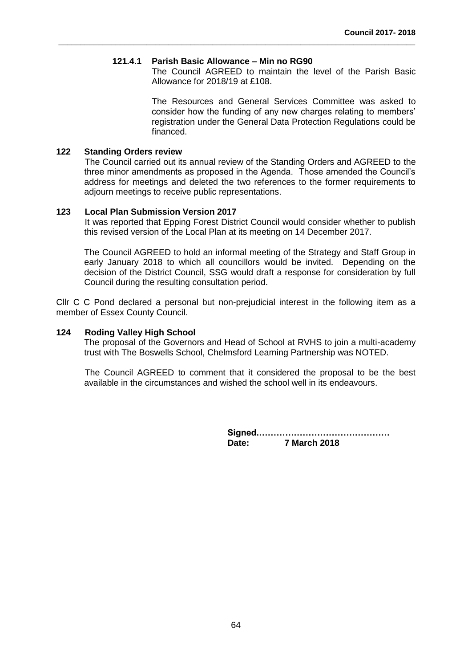### **121.4.1 Parish Basic Allowance – Min no RG90**

**\_\_\_\_\_\_\_\_\_\_\_\_\_\_\_\_\_\_\_\_\_\_\_\_\_\_\_\_\_\_\_\_\_\_\_\_\_\_\_\_\_\_\_\_\_\_\_\_\_\_\_\_\_\_\_\_\_\_\_\_\_\_\_\_\_\_\_\_\_\_\_\_\_\_\_\_\_\_\_\_\_**

The Council AGREED to maintain the level of the Parish Basic Allowance for 2018/19 at £108.

The Resources and General Services Committee was asked to consider how the funding of any new charges relating to members' registration under the General Data Protection Regulations could be financed.

# **122 Standing Orders review**

The Council carried out its annual review of the Standing Orders and AGREED to the three minor amendments as proposed in the Agenda. Those amended the Council's address for meetings and deleted the two references to the former requirements to adjourn meetings to receive public representations.

#### **123 Local Plan Submission Version 2017**

It was reported that Epping Forest District Council would consider whether to publish this revised version of the Local Plan at its meeting on 14 December 2017.

The Council AGREED to hold an informal meeting of the Strategy and Staff Group in early January 2018 to which all councillors would be invited. Depending on the decision of the District Council, SSG would draft a response for consideration by full Council during the resulting consultation period.

Cllr C C Pond declared a personal but non-prejudicial interest in the following item as a member of Essex County Council.

#### **124 Roding Valley High School**

The proposal of the Governors and Head of School at RVHS to join a multi-academy trust with The Boswells School, Chelmsford Learning Partnership was NOTED.

The Council AGREED to comment that it considered the proposal to be the best available in the circumstances and wished the school well in its endeavours.

> **Signed.……………………………………… Date: 7 March 2018**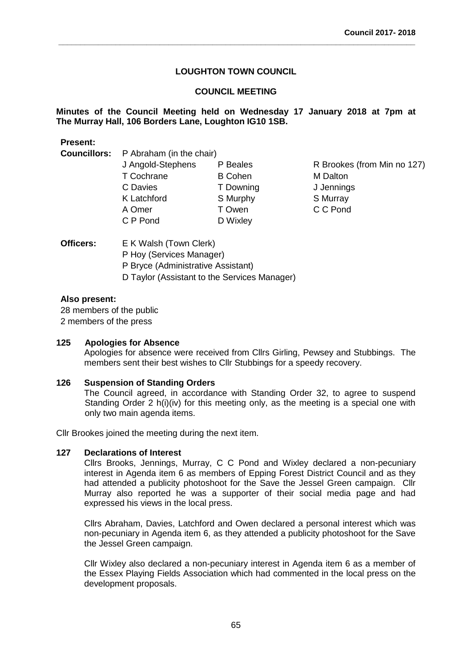**\_\_\_\_\_\_\_\_\_\_\_\_\_\_\_\_\_\_\_\_\_\_\_\_\_\_\_\_\_\_\_\_\_\_\_\_\_\_\_\_\_\_\_\_\_\_\_\_\_\_\_\_\_\_\_\_\_\_\_\_\_\_\_\_\_\_\_\_\_\_\_\_\_\_\_\_\_\_\_\_\_**

# **COUNCIL MEETING**

# **Minutes of the Council Meeting held on Wednesday 17 January 2018 at 7pm at The Murray Hall, 106 Borders Lane, Loughton IG10 1SB.**

| <b>Present:</b>     |                          |                          |                             |  |  |
|---------------------|--------------------------|--------------------------|-----------------------------|--|--|
| <b>Councillors:</b> |                          | P Abraham (in the chair) |                             |  |  |
|                     | J Angold-Stephens        | P Beales                 | R Brookes (from Min no 127) |  |  |
|                     | T Cochrane               | <b>B</b> Cohen           | <b>M</b> Dalton             |  |  |
|                     | C Davies                 | T Downing                | J Jennings                  |  |  |
|                     | K Latchford              | S Murphy                 | S Murray                    |  |  |
|                     | A Omer                   | T Owen                   | C C Pond                    |  |  |
|                     | C P Pond                 | D Wixley                 |                             |  |  |
| <b>Officers:</b>    | E K Walsh (Town Clerk)   |                          |                             |  |  |
|                     | P Hoy (Services Manager) |                          |                             |  |  |

D Taylor (Assistant to the Services Manager)

# **Also present:**

28 members of the public 2 members of the press

# **125 Apologies for Absence**

Apologies for absence were received from Cllrs Girling, Pewsey and Stubbings. The members sent their best wishes to Cllr Stubbings for a speedy recovery.

#### **126 Suspension of Standing Orders**

The Council agreed, in accordance with Standing Order 32, to agree to suspend Standing Order 2 h(i)(iv) for this meeting only, as the meeting is a special one with only two main agenda items.

Cllr Brookes joined the meeting during the next item.

P Bryce (Administrative Assistant)

#### **127 Declarations of Interest**

Cllrs Brooks, Jennings, Murray, C C Pond and Wixley declared a non-pecuniary interest in Agenda item 6 as members of Epping Forest District Council and as they had attended a publicity photoshoot for the Save the Jessel Green campaign. Cllr Murray also reported he was a supporter of their social media page and had expressed his views in the local press.

Cllrs Abraham, Davies, Latchford and Owen declared a personal interest which was non-pecuniary in Agenda item 6, as they attended a publicity photoshoot for the Save the Jessel Green campaign.

Cllr Wixley also declared a non-pecuniary interest in Agenda item 6 as a member of the Essex Playing Fields Association which had commented in the local press on the development proposals.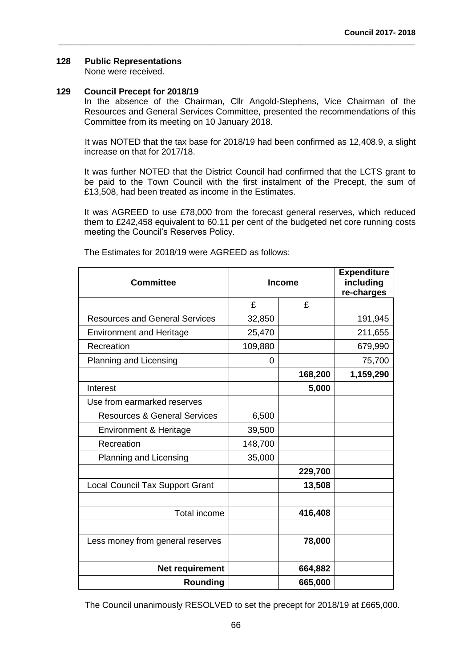# **128 Public Representations**

None were received.

# **129 Council Precept for 2018/19**

In the absence of the Chairman, Cllr Angold-Stephens, Vice Chairman of the Resources and General Services Committee, presented the recommendations of this Committee from its meeting on 10 January 2018.

**\_\_\_\_\_\_\_\_\_\_\_\_\_\_\_\_\_\_\_\_\_\_\_\_\_\_\_\_\_\_\_\_\_\_\_\_\_\_\_\_\_\_\_\_\_\_\_\_\_\_\_\_\_\_\_\_\_\_\_\_\_\_\_\_\_\_\_\_\_\_\_\_\_\_\_\_\_\_\_\_\_**

It was NOTED that the tax base for 2018/19 had been confirmed as 12,408.9, a slight increase on that for 2017/18.

It was further NOTED that the District Council had confirmed that the LCTS grant to be paid to the Town Council with the first instalment of the Precept, the sum of £13,508, had been treated as income in the Estimates.

It was AGREED to use £78,000 from the forecast general reserves, which reduced them to £242,458 equivalent to 60.11 per cent of the budgeted net core running costs meeting the Council's Reserves Policy.

| <b>Committee</b>                        | <b>Income</b> |         | <b>Expenditure</b><br>including<br>re-charges |  |
|-----------------------------------------|---------------|---------|-----------------------------------------------|--|
|                                         | £             | £       |                                               |  |
| <b>Resources and General Services</b>   | 32,850        |         | 191,945                                       |  |
| <b>Environment and Heritage</b>         | 25,470        |         | 211,655                                       |  |
| Recreation                              | 109,880       |         | 679,990                                       |  |
| Planning and Licensing                  | 0             |         | 75,700                                        |  |
|                                         |               | 168,200 | 1,159,290                                     |  |
| Interest                                |               | 5,000   |                                               |  |
| Use from earmarked reserves             |               |         |                                               |  |
| <b>Resources &amp; General Services</b> | 6,500         |         |                                               |  |
| Environment & Heritage                  | 39,500        |         |                                               |  |
| Recreation                              | 148,700       |         |                                               |  |
| Planning and Licensing                  | 35,000        |         |                                               |  |
|                                         |               | 229,700 |                                               |  |
| <b>Local Council Tax Support Grant</b>  |               | 13,508  |                                               |  |
|                                         |               |         |                                               |  |
| Total income                            |               | 416,408 |                                               |  |
|                                         |               |         |                                               |  |
| Less money from general reserves        |               | 78,000  |                                               |  |
|                                         |               |         |                                               |  |
| Net requirement                         |               | 664,882 |                                               |  |
| Rounding                                |               | 665,000 |                                               |  |

The Estimates for 2018/19 were AGREED as follows:

The Council unanimously RESOLVED to set the precept for 2018/19 at £665,000.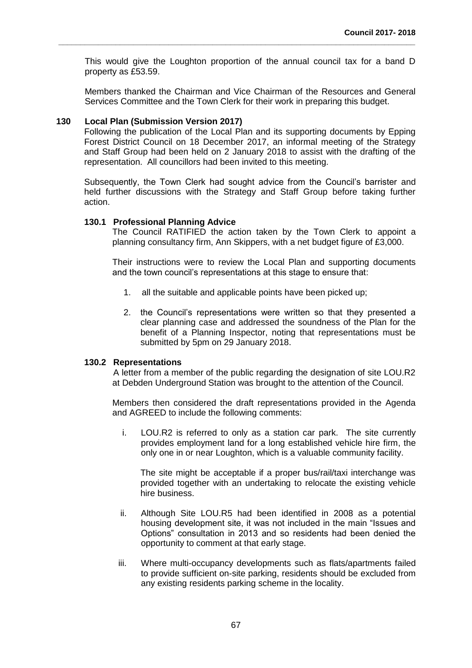This would give the Loughton proportion of the annual council tax for a band D property as £53.59.

**\_\_\_\_\_\_\_\_\_\_\_\_\_\_\_\_\_\_\_\_\_\_\_\_\_\_\_\_\_\_\_\_\_\_\_\_\_\_\_\_\_\_\_\_\_\_\_\_\_\_\_\_\_\_\_\_\_\_\_\_\_\_\_\_\_\_\_\_\_\_\_\_\_\_\_\_\_\_\_\_\_**

Members thanked the Chairman and Vice Chairman of the Resources and General Services Committee and the Town Clerk for their work in preparing this budget.

# **130 Local Plan (Submission Version 2017)**

Following the publication of the Local Plan and its supporting documents by Epping Forest District Council on 18 December 2017, an informal meeting of the Strategy and Staff Group had been held on 2 January 2018 to assist with the drafting of the representation. All councillors had been invited to this meeting.

Subsequently, the Town Clerk had sought advice from the Council's barrister and held further discussions with the Strategy and Staff Group before taking further action.

#### **130.1 Professional Planning Advice**

The Council RATIFIED the action taken by the Town Clerk to appoint a planning consultancy firm, Ann Skippers, with a net budget figure of £3,000.

Their instructions were to review the Local Plan and supporting documents and the town council's representations at this stage to ensure that:

- 1. all the suitable and applicable points have been picked up;
- 2. the Council's representations were written so that they presented a clear planning case and addressed the soundness of the Plan for the benefit of a Planning Inspector, noting that representations must be submitted by 5pm on 29 January 2018.

#### **130.2 Representations**

A letter from a member of the public regarding the designation of site LOU.R2 at Debden Underground Station was brought to the attention of the Council.

Members then considered the draft representations provided in the Agenda and AGREED to include the following comments:

i. LOU.R2 is referred to only as a station car park. The site currently provides employment land for a long established vehicle hire firm, the only one in or near Loughton, which is a valuable community facility.

The site might be acceptable if a proper bus/rail/taxi interchange was provided together with an undertaking to relocate the existing vehicle hire business.

- ii. Although Site LOU.R5 had been identified in 2008 as a potential housing development site, it was not included in the main "Issues and Options" consultation in 2013 and so residents had been denied the opportunity to comment at that early stage.
- iii. Where multi-occupancy developments such as flats/apartments failed to provide sufficient on-site parking, residents should be excluded from any existing residents parking scheme in the locality.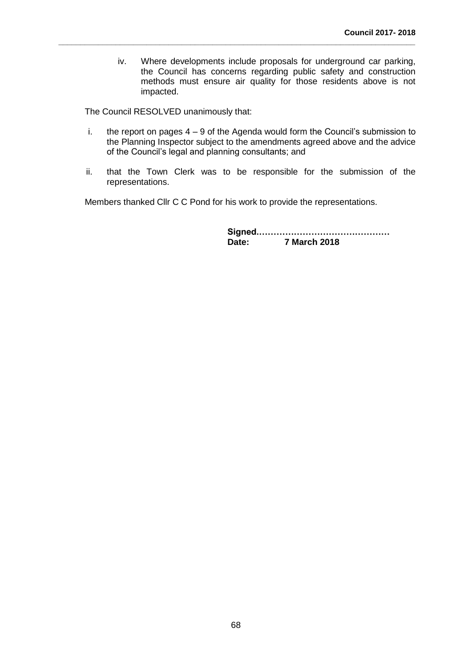iv. Where developments include proposals for underground car parking, the Council has concerns regarding public safety and construction methods must ensure air quality for those residents above is not impacted.

The Council RESOLVED unanimously that:

i. the report on pages  $4 - 9$  of the Agenda would form the Council's submission to the Planning Inspector subject to the amendments agreed above and the advice of the Council's legal and planning consultants; and

**\_\_\_\_\_\_\_\_\_\_\_\_\_\_\_\_\_\_\_\_\_\_\_\_\_\_\_\_\_\_\_\_\_\_\_\_\_\_\_\_\_\_\_\_\_\_\_\_\_\_\_\_\_\_\_\_\_\_\_\_\_\_\_\_\_\_\_\_\_\_\_\_\_\_\_\_\_\_\_\_\_**

ii. that the Town Clerk was to be responsible for the submission of the representations.

Members thanked Cllr C C Pond for his work to provide the representations.

**Signed.……………………………………… Date: 7 March 2018**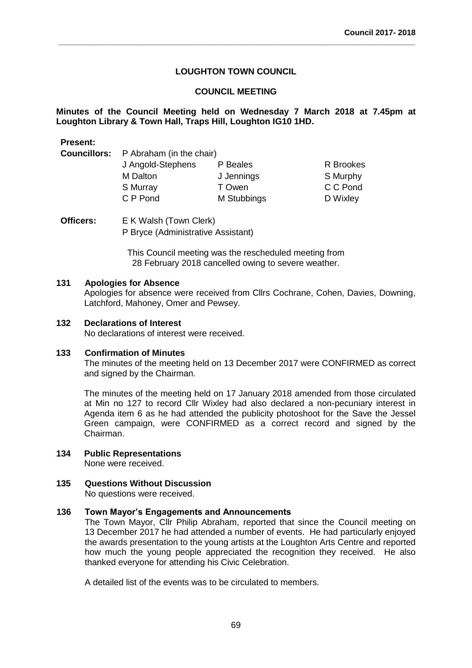**\_\_\_\_\_\_\_\_\_\_\_\_\_\_\_\_\_\_\_\_\_\_\_\_\_\_\_\_\_\_\_\_\_\_\_\_\_\_\_\_\_\_\_\_\_\_\_\_\_\_\_\_\_\_\_\_\_\_\_\_\_\_\_\_\_\_\_\_\_\_\_\_\_\_\_\_\_\_\_\_\_**

# **COUNCIL MEETING**

**Minutes of the Council Meeting held on Wednesday 7 March 2018 at 7.45pm at Loughton Library & Town Hall, Traps Hill, Loughton IG10 1HD.** 

| Present: |                                              |             |           |  |
|----------|----------------------------------------------|-------------|-----------|--|
|          | <b>Councillors:</b> P Abraham (in the chair) |             |           |  |
|          | J Angold-Stephens                            | P Beales    | R Brookes |  |
|          | M Dalton                                     | J Jennings  | S Murphy  |  |
|          | S Murray                                     | T Owen      | C C Pond  |  |
|          | C P Pond                                     | M Stubbings | D Wixley  |  |
|          |                                              |             |           |  |

**Officers:** E K Walsh (Town Clerk) P Bryce (Administrative Assistant)

> This Council meeting was the rescheduled meeting from 28 February 2018 cancelled owing to severe weather.

#### **131 Apologies for Absence**

**Present:**

Apologies for absence were received from Cllrs Cochrane, Cohen, Davies, Downing, Latchford, Mahoney, Omer and Pewsey.

#### **132 Declarations of Interest**

No declarations of interest were received.

# **133 Confirmation of Minutes**

The minutes of the meeting held on 13 December 2017 were CONFIRMED as correct and signed by the Chairman.

The minutes of the meeting held on 17 January 2018 amended from those circulated at Min no 127 to record Cllr Wixley had also declared a non-pecuniary interest in Agenda item 6 as he had attended the publicity photoshoot for the Save the Jessel Green campaign, were CONFIRMED as a correct record and signed by the Chairman.

#### **134 Public Representations**

None were received.

# **135 Questions Without Discussion**

No questions were received.

### **136 Town Mayor's Engagements and Announcements**

The Town Mayor, Cllr Philip Abraham, reported that since the Council meeting on 13 December 2017 he had attended a number of events. He had particularly enjoyed the awards presentation to the young artists at the Loughton Arts Centre and reported how much the young people appreciated the recognition they received. He also thanked everyone for attending his Civic Celebration.

A detailed list of the events was to be circulated to members.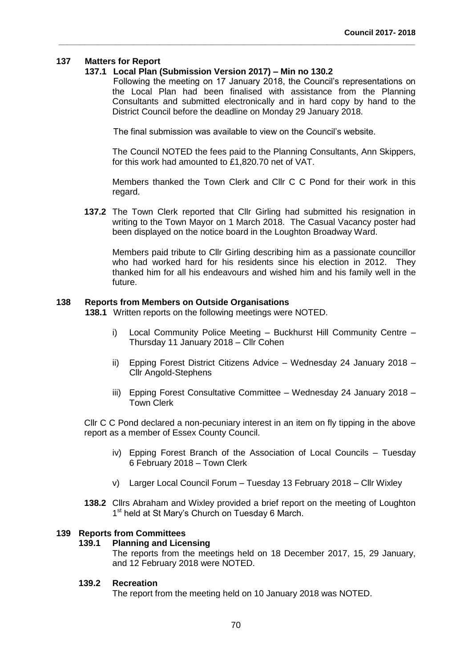# **137 Matters for Report**

# **137.1 Local Plan (Submission Version 2017) – Min no 130.2**

Following the meeting on 17 January 2018, the Council's representations on the Local Plan had been finalised with assistance from the Planning Consultants and submitted electronically and in hard copy by hand to the District Council before the deadline on Monday 29 January 2018.

The final submission was available to view on the Council's website.

**\_\_\_\_\_\_\_\_\_\_\_\_\_\_\_\_\_\_\_\_\_\_\_\_\_\_\_\_\_\_\_\_\_\_\_\_\_\_\_\_\_\_\_\_\_\_\_\_\_\_\_\_\_\_\_\_\_\_\_\_\_\_\_\_\_\_\_\_\_\_\_\_\_\_\_\_\_\_\_\_\_**

The Council NOTED the fees paid to the Planning Consultants, Ann Skippers, for this work had amounted to £1,820.70 net of VAT.

Members thanked the Town Clerk and Cllr C C Pond for their work in this regard.

**137.2** The Town Clerk reported that Cllr Girling had submitted his resignation in writing to the Town Mayor on 1 March 2018. The Casual Vacancy poster had been displayed on the notice board in the Loughton Broadway Ward.

Members paid tribute to Cllr Girling describing him as a passionate councillor who had worked hard for his residents since his election in 2012. They thanked him for all his endeavours and wished him and his family well in the future.

#### **138 Reports from Members on Outside Organisations**

**138.1** Written reports on the following meetings were NOTED.

- i) Local Community Police Meeting Buckhurst Hill Community Centre Thursday 11 January 2018 – Cllr Cohen
- ii) Epping Forest District Citizens Advice Wednesday 24 January 2018 Cllr Angold-Stephens
- iii) Epping Forest Consultative Committee Wednesday 24 January 2018 Town Clerk

Cllr C C Pond declared a non-pecuniary interest in an item on fly tipping in the above report as a member of Essex County Council.

- iv) Epping Forest Branch of the Association of Local Councils Tuesday 6 February 2018 – Town Clerk
- v) Larger Local Council Forum Tuesday 13 February 2018 Cllr Wixley
- **138.2** Cllrs Abraham and Wixley provided a brief report on the meeting of Loughton 1<sup>st</sup> held at St Mary's Church on Tuesday 6 March.

#### **139 Reports from Committees**

#### **139.1 Planning and Licensing**

The reports from the meetings held on 18 December 2017, 15, 29 January, and 12 February 2018 were NOTED.

#### **139.2 Recreation**

The report from the meeting held on 10 January 2018 was NOTED.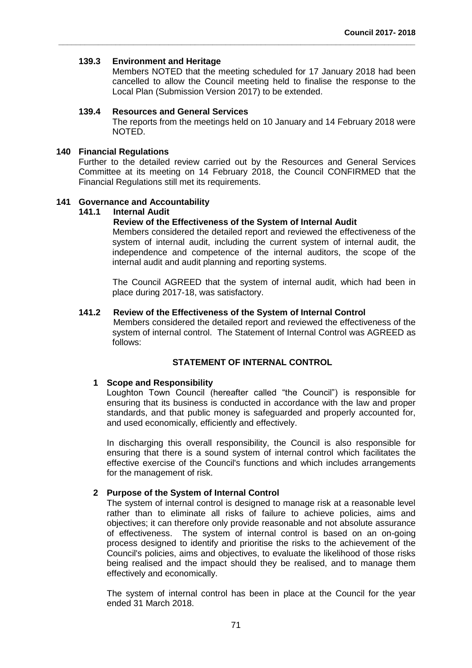# **139.3 Environment and Heritage**

Members NOTED that the meeting scheduled for 17 January 2018 had been cancelled to allow the Council meeting held to finalise the response to the Local Plan (Submission Version 2017) to be extended.

#### **139.4 Resources and General Services**

The reports from the meetings held on 10 January and 14 February 2018 were NOTED.

# **140 Financial Regulations**

Further to the detailed review carried out by the Resources and General Services Committee at its meeting on 14 February 2018, the Council CONFIRMED that the Financial Regulations still met its requirements.

# **141 Governance and Accountability**

# **141.1 Internal Audit**

# **Review of the Effectiveness of the System of Internal Audit**

**\_\_\_\_\_\_\_\_\_\_\_\_\_\_\_\_\_\_\_\_\_\_\_\_\_\_\_\_\_\_\_\_\_\_\_\_\_\_\_\_\_\_\_\_\_\_\_\_\_\_\_\_\_\_\_\_\_\_\_\_\_\_\_\_\_\_\_\_\_\_\_\_\_\_\_\_\_\_\_\_\_**

Members considered the detailed report and reviewed the effectiveness of the system of internal audit, including the current system of internal audit, the independence and competence of the internal auditors, the scope of the internal audit and audit planning and reporting systems.

The Council AGREED that the system of internal audit, which had been in place during 2017-18, was satisfactory.

#### **141.2 Review of the Effectiveness of the System of Internal Control**

Members considered the detailed report and reviewed the effectiveness of the system of internal control. The Statement of Internal Control was AGREED as follows:

# **STATEMENT OF INTERNAL CONTROL**

#### **1 Scope and Responsibility**

Loughton Town Council (hereafter called "the Council") is responsible for ensuring that its business is conducted in accordance with the law and proper standards, and that public money is safeguarded and properly accounted for, and used economically, efficiently and effectively.

In discharging this overall responsibility, the Council is also responsible for ensuring that there is a sound system of internal control which facilitates the effective exercise of the Council's functions and which includes arrangements for the management of risk.

#### **2 Purpose of the System of Internal Control**

The system of internal control is designed to manage risk at a reasonable level rather than to eliminate all risks of failure to achieve policies, aims and objectives; it can therefore only provide reasonable and not absolute assurance of effectiveness. The system of internal control is based on an on-going process designed to identify and prioritise the risks to the achievement of the Council's policies, aims and objectives, to evaluate the likelihood of those risks being realised and the impact should they be realised, and to manage them effectively and economically.

The system of internal control has been in place at the Council for the year ended 31 March 2018.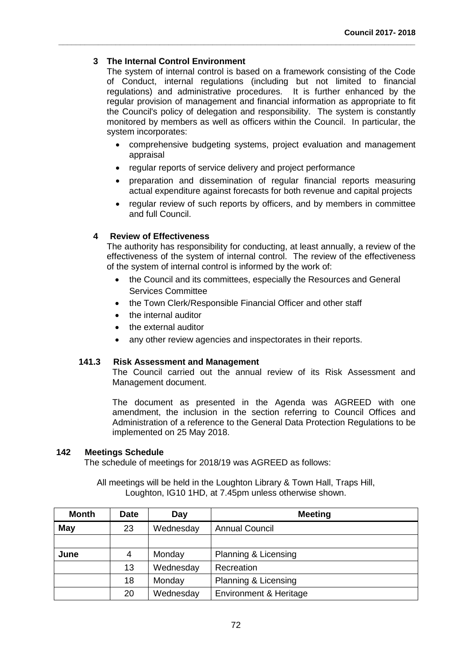# **3 The Internal Control Environment**

The system of internal control is based on a framework consisting of the Code of Conduct, internal regulations (including but not limited to financial regulations) and administrative procedures. It is further enhanced by the regular provision of management and financial information as appropriate to fit the Council's policy of delegation and responsibility. The system is constantly monitored by members as well as officers within the Council. In particular, the system incorporates:

- comprehensive budgeting systems, project evaluation and management appraisal
- regular reports of service delivery and project performance

**\_\_\_\_\_\_\_\_\_\_\_\_\_\_\_\_\_\_\_\_\_\_\_\_\_\_\_\_\_\_\_\_\_\_\_\_\_\_\_\_\_\_\_\_\_\_\_\_\_\_\_\_\_\_\_\_\_\_\_\_\_\_\_\_\_\_\_\_\_\_\_\_\_\_\_\_\_\_\_\_\_**

- preparation and dissemination of regular financial reports measuring actual expenditure against forecasts for both revenue and capital projects
- regular review of such reports by officers, and by members in committee and full Council.

# **4 Review of Effectiveness**

The authority has responsibility for conducting, at least annually, a review of the effectiveness of the system of internal control. The review of the effectiveness of the system of internal control is informed by the work of:

- the Council and its committees, especially the Resources and General Services Committee
- the Town Clerk/Responsible Financial Officer and other staff
- the internal auditor
- the external auditor
- any other review agencies and inspectorates in their reports.

# **141.3 Risk Assessment and Management**

The Council carried out the annual review of its Risk Assessment and Management document.

The document as presented in the Agenda was AGREED with one amendment, the inclusion in the section referring to Council Offices and Administration of a reference to the General Data Protection Regulations to be implemented on 25 May 2018.

# **142 Meetings Schedule**

The schedule of meetings for 2018/19 was AGREED as follows:

All meetings will be held in the Loughton Library & Town Hall, Traps Hill, Loughton, IG10 1HD, at 7.45pm unless otherwise shown.

| <b>Month</b> | Date | Day       | <b>Meeting</b>         |
|--------------|------|-----------|------------------------|
| May          | 23   | Wednesday | <b>Annual Council</b>  |
|              |      |           |                        |
| June         | 4    | Monday    | Planning & Licensing   |
|              | 13   | Wednesday | Recreation             |
|              | 18   | Monday    | Planning & Licensing   |
|              | 20   | Wednesday | Environment & Heritage |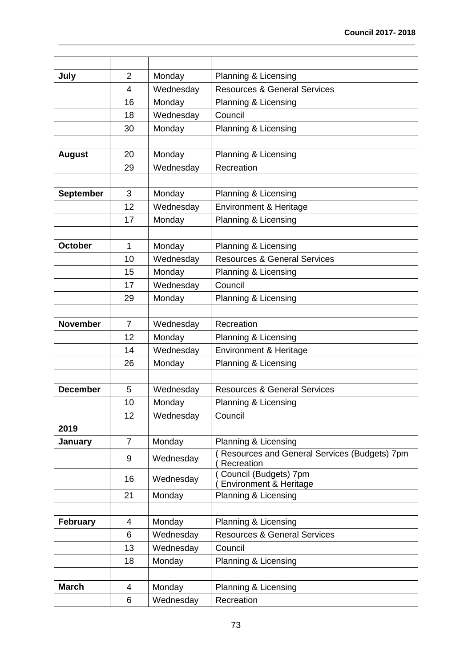| July             | $\overline{2}$ | Monday    | Planning & Licensing                                       |  |
|------------------|----------------|-----------|------------------------------------------------------------|--|
|                  | 4              | Wednesday | <b>Resources &amp; General Services</b>                    |  |
|                  | 16             | Monday    | Planning & Licensing                                       |  |
|                  | 18             | Wednesday | Council                                                    |  |
|                  | 30             | Monday    | Planning & Licensing                                       |  |
|                  |                |           |                                                            |  |
| <b>August</b>    | 20             | Monday    | Planning & Licensing                                       |  |
|                  | 29             | Wednesday | Recreation                                                 |  |
|                  |                |           |                                                            |  |
| <b>September</b> | 3              | Monday    | Planning & Licensing                                       |  |
|                  | 12             | Wednesday | Environment & Heritage                                     |  |
|                  | 17             | Monday    | Planning & Licensing                                       |  |
|                  |                |           |                                                            |  |
| October          | 1              | Monday    | Planning & Licensing                                       |  |
|                  | 10             | Wednesday | <b>Resources &amp; General Services</b>                    |  |
|                  | 15             | Monday    | Planning & Licensing                                       |  |
|                  | 17             | Wednesday | Council                                                    |  |
|                  | 29             | Monday    | Planning & Licensing                                       |  |
|                  |                |           |                                                            |  |
| <b>November</b>  | $\overline{7}$ | Wednesday | Recreation                                                 |  |
|                  | 12             | Monday    | Planning & Licensing                                       |  |
|                  | 14             | Wednesday | <b>Environment &amp; Heritage</b>                          |  |
|                  | 26             | Monday    | Planning & Licensing                                       |  |
|                  |                |           |                                                            |  |
| <b>December</b>  | 5<br>Wednesday |           | <b>Resources &amp; General Services</b>                    |  |
|                  | 10             | Monday    | Planning & Licensing                                       |  |
|                  | 12             | Wednesday | Council                                                    |  |
| 2019             |                |           |                                                            |  |
| January          | $\overline{7}$ | Monday    | Planning & Licensing                                       |  |
|                  | 9              | Wednesday | Resources and General Services (Budgets) 7pm<br>Recreation |  |
|                  | 16             | Wednesday | Council (Budgets) 7pm<br>Environment & Heritage            |  |
|                  | 21             | Monday    | Planning & Licensing                                       |  |
|                  |                |           |                                                            |  |
| <b>February</b>  | 4              | Monday    | Planning & Licensing                                       |  |
|                  | 6              | Wednesday | <b>Resources &amp; General Services</b>                    |  |
|                  | 13             | Wednesday | Council                                                    |  |
|                  | 18             | Monday    | Planning & Licensing                                       |  |
|                  |                |           |                                                            |  |
| <b>March</b>     | 4              | Monday    | Planning & Licensing                                       |  |
|                  | 6              | Wednesday | Recreation                                                 |  |

**\_\_\_\_\_\_\_\_\_\_\_\_\_\_\_\_\_\_\_\_\_\_\_\_\_\_\_\_\_\_\_\_\_\_\_\_\_\_\_\_\_\_\_\_\_\_\_\_\_\_\_\_\_\_\_\_\_\_\_\_\_\_\_\_\_\_\_\_\_\_\_\_\_\_\_\_\_\_\_\_\_**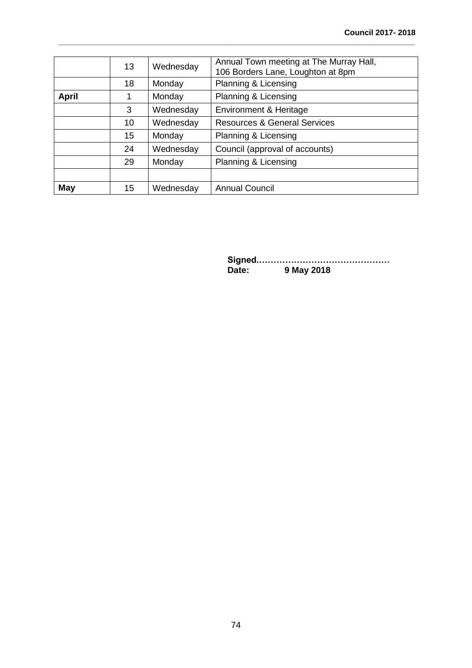|              | 13 | Wednesday                                   | Annual Town meeting at The Murray Hall,<br>106 Borders Lane, Loughton at 8pm |  |
|--------------|----|---------------------------------------------|------------------------------------------------------------------------------|--|
|              | 18 | Monday                                      | Planning & Licensing                                                         |  |
| <b>April</b> |    | Monday                                      | Planning & Licensing                                                         |  |
|              | 3  | Wednesday                                   | Environment & Heritage                                                       |  |
|              | 10 | Wednesday                                   | <b>Resources &amp; General Services</b>                                      |  |
|              | 15 | Monday                                      | Planning & Licensing                                                         |  |
|              | 24 | Council (approval of accounts)<br>Wednesday |                                                                              |  |
|              | 29 | Monday                                      | Planning & Licensing                                                         |  |
|              |    |                                             |                                                                              |  |
| <b>May</b>   | 15 | Wednesday                                   | <b>Annual Council</b>                                                        |  |

**\_\_\_\_\_\_\_\_\_\_\_\_\_\_\_\_\_\_\_\_\_\_\_\_\_\_\_\_\_\_\_\_\_\_\_\_\_\_\_\_\_\_\_\_\_\_\_\_\_\_\_\_\_\_\_\_\_\_\_\_\_\_\_\_\_\_\_\_\_\_\_\_\_\_\_\_\_\_\_\_\_**

**Signed.……………………………………… Date: 9 May 2018**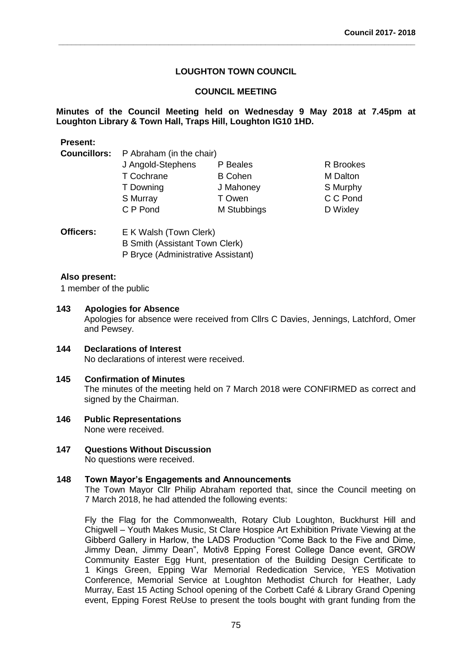**\_\_\_\_\_\_\_\_\_\_\_\_\_\_\_\_\_\_\_\_\_\_\_\_\_\_\_\_\_\_\_\_\_\_\_\_\_\_\_\_\_\_\_\_\_\_\_\_\_\_\_\_\_\_\_\_\_\_\_\_\_\_\_\_\_\_\_\_\_\_\_\_\_\_\_\_\_\_\_\_\_**

# **COUNCIL MEETING**

# **Minutes of the Council Meeting held on Wednesday 9 May 2018 at 7.45pm at Loughton Library & Town Hall, Traps Hill, Loughton IG10 1HD.**

| Present:            |                          |                |           |  |  |  |
|---------------------|--------------------------|----------------|-----------|--|--|--|
| <b>Councillors:</b> | P Abraham (in the chair) |                |           |  |  |  |
|                     | J Angold-Stephens        | P Beales       | R Brookes |  |  |  |
|                     | T Cochrane               | <b>B</b> Cohen | M Dalton  |  |  |  |
|                     | T Downing                | J Mahoney      | S Murphy  |  |  |  |
|                     | S Murray                 | T Owen         | C C Pond  |  |  |  |
|                     | C P Pond                 | M Stubbings    | D Wixley  |  |  |  |
|                     |                          |                |           |  |  |  |

**Officers:** E K Walsh (Town Clerk) B Smith (Assistant Town Clerk) P Bryce (Administrative Assistant)

# **Also present:**

**Present:**

1 member of the public

# **143 Apologies for Absence**

Apologies for absence were received from Cllrs C Davies, Jennings, Latchford, Omer and Pewsey.

# **144 Declarations of Interest** No declarations of interest were received.

# **145 Confirmation of Minutes**

The minutes of the meeting held on 7 March 2018 were CONFIRMED as correct and signed by the Chairman.

# **146 Public Representations**

None were received.

# **147 Questions Without Discussion**

No questions were received.

#### **148 Town Mayor's Engagements and Announcements**

The Town Mayor Cllr Philip Abraham reported that, since the Council meeting on 7 March 2018, he had attended the following events:

Fly the Flag for the Commonwealth, Rotary Club Loughton, Buckhurst Hill and Chigwell – Youth Makes Music, St Clare Hospice Art Exhibition Private Viewing at the Gibberd Gallery in Harlow, the LADS Production "Come Back to the Five and Dime, Jimmy Dean, Jimmy Dean", Motiv8 Epping Forest College Dance event, GROW Community Easter Egg Hunt, presentation of the Building Design Certificate to 1 Kings Green, Epping War Memorial Rededication Service, YES Motivation Conference, Memorial Service at Loughton Methodist Church for Heather, Lady Murray, East 15 Acting School opening of the Corbett Café & Library Grand Opening event, Epping Forest ReUse to present the tools bought with grant funding from the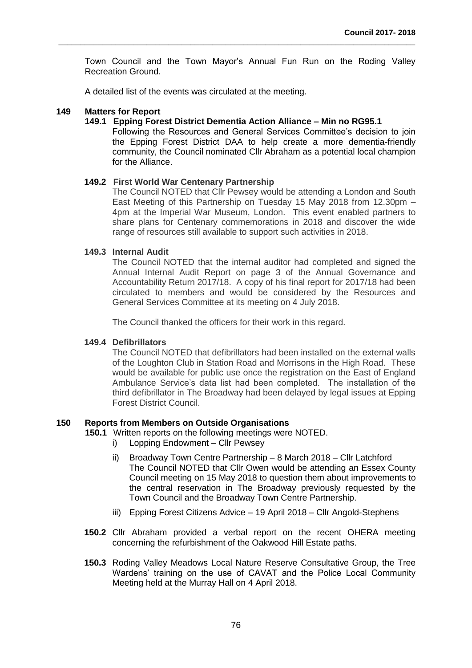Town Council and the Town Mayor's Annual Fun Run on the Roding Valley Recreation Ground.

**\_\_\_\_\_\_\_\_\_\_\_\_\_\_\_\_\_\_\_\_\_\_\_\_\_\_\_\_\_\_\_\_\_\_\_\_\_\_\_\_\_\_\_\_\_\_\_\_\_\_\_\_\_\_\_\_\_\_\_\_\_\_\_\_\_\_\_\_\_\_\_\_\_\_\_\_\_\_\_\_\_**

A detailed list of the events was circulated at the meeting.

# **149 Matters for Report**

### **149.1 Epping Forest District Dementia Action Alliance – Min no RG95.1**

Following the Resources and General Services Committee's decision to join the Epping Forest District DAA to help create a more dementia-friendly community, the Council nominated Cllr Abraham as a potential local champion for the Alliance.

# **149.2 First World War Centenary Partnership**

The Council NOTED that Cllr Pewsey would be attending a London and South East Meeting of this Partnership on Tuesday 15 May 2018 from 12.30pm – 4pm at the Imperial War Museum, London. This event enabled partners to share plans for Centenary commemorations in 2018 and discover the wide range of resources still available to support such activities in 2018.

#### **149.3 Internal Audit**

The Council NOTED that the internal auditor had completed and signed the Annual Internal Audit Report on page 3 of the Annual Governance and Accountability Return 2017/18. A copy of his final report for 2017/18 had been circulated to members and would be considered by the Resources and General Services Committee at its meeting on 4 July 2018.

The Council thanked the officers for their work in this regard.

# **149.4 Defibrillators**

The Council NOTED that defibrillators had been installed on the external walls of the Loughton Club in Station Road and Morrisons in the High Road. These would be available for public use once the registration on the East of England Ambulance Service's data list had been completed. The installation of the third defibrillator in The Broadway had been delayed by legal issues at Epping Forest District Council.

# **150 Reports from Members on Outside Organisations**

**150.1** Written reports on the following meetings were NOTED.

- i) Lopping Endowment Cllr Pewsey
- ii) Broadway Town Centre Partnership 8 March 2018 Cllr Latchford The Council NOTED that Cllr Owen would be attending an Essex County Council meeting on 15 May 2018 to question them about improvements to the central reservation in The Broadway previously requested by the Town Council and the Broadway Town Centre Partnership.
- iii) Epping Forest Citizens Advice 19 April 2018 Cllr Angold-Stephens
- **150.2** Cllr Abraham provided a verbal report on the recent OHERA meeting concerning the refurbishment of the Oakwood Hill Estate paths.
- **150.3** Roding Valley Meadows Local Nature Reserve Consultative Group, the Tree Wardens' training on the use of CAVAT and the Police Local Community Meeting held at the Murray Hall on 4 April 2018.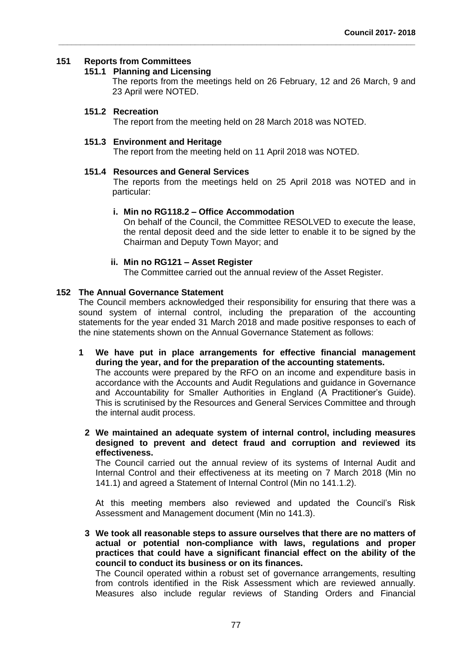### **151 Reports from Committees**

# **151.1 Planning and Licensing**

The reports from the meetings held on 26 February, 12 and 26 March, 9 and 23 April were NOTED.

# **151.2 Recreation**

The report from the meeting held on 28 March 2018 was NOTED.

**\_\_\_\_\_\_\_\_\_\_\_\_\_\_\_\_\_\_\_\_\_\_\_\_\_\_\_\_\_\_\_\_\_\_\_\_\_\_\_\_\_\_\_\_\_\_\_\_\_\_\_\_\_\_\_\_\_\_\_\_\_\_\_\_\_\_\_\_\_\_\_\_\_\_\_\_\_\_\_\_\_**

### **151.3 Environment and Heritage**

The report from the meeting held on 11 April 2018 was NOTED.

# **151.4 Resources and General Services**

The reports from the meetings held on 25 April 2018 was NOTED and in particular:

# **i. Min no RG118.2 – Office Accommodation**

On behalf of the Council, the Committee RESOLVED to execute the lease, the rental deposit deed and the side letter to enable it to be signed by the Chairman and Deputy Town Mayor; and

# **ii. Min no RG121 – Asset Register**

The Committee carried out the annual review of the Asset Register.

# **152 The Annual Governance Statement**

The Council members acknowledged their responsibility for ensuring that there was a sound system of internal control, including the preparation of the accounting statements for the year ended 31 March 2018 and made positive responses to each of the nine statements shown on the Annual Governance Statement as follows:

**1 We have put in place arrangements for effective financial management during the year, and for the preparation of the accounting statements.** The accounts were prepared by the RFO on an income and expenditure basis in accordance with the Accounts and Audit Regulations and guidance in Governance and Accountability for Smaller Authorities in England (A Practitioner's Guide). This is scrutinised by the Resources and General Services Committee and through the internal audit process.

**2 We maintained an adequate system of internal control, including measures designed to prevent and detect fraud and corruption and reviewed its effectiveness.** 

The Council carried out the annual review of its systems of Internal Audit and Internal Control and their effectiveness at its meeting on 7 March 2018 (Min no 141.1) and agreed a Statement of Internal Control (Min no 141.1.2).

At this meeting members also reviewed and updated the Council's Risk Assessment and Management document (Min no 141.3).

**3 We took all reasonable steps to assure ourselves that there are no matters of actual or potential non-compliance with laws, regulations and proper practices that could have a significant financial effect on the ability of the council to conduct its business or on its finances.** 

The Council operated within a robust set of governance arrangements, resulting from controls identified in the Risk Assessment which are reviewed annually. Measures also include regular reviews of Standing Orders and Financial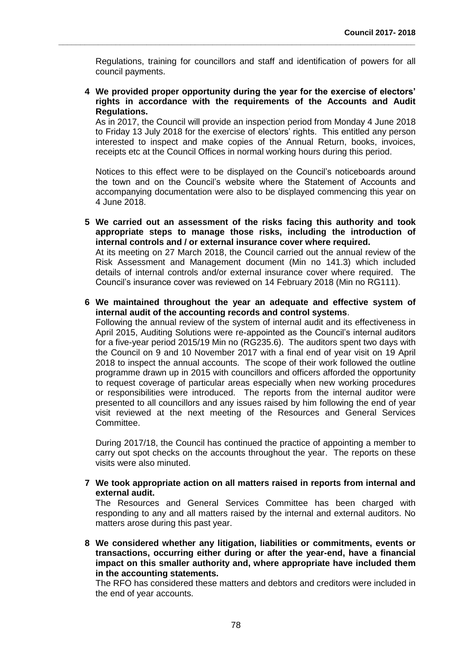Regulations, training for councillors and staff and identification of powers for all council payments.

**\_\_\_\_\_\_\_\_\_\_\_\_\_\_\_\_\_\_\_\_\_\_\_\_\_\_\_\_\_\_\_\_\_\_\_\_\_\_\_\_\_\_\_\_\_\_\_\_\_\_\_\_\_\_\_\_\_\_\_\_\_\_\_\_\_\_\_\_\_\_\_\_\_\_\_\_\_\_\_\_\_**

**4 We provided proper opportunity during the year for the exercise of electors' rights in accordance with the requirements of the Accounts and Audit Regulations.** 

As in 2017, the Council will provide an inspection period from Monday 4 June 2018 to Friday 13 July 2018 for the exercise of electors' rights. This entitled any person interested to inspect and make copies of the Annual Return, books, invoices, receipts etc at the Council Offices in normal working hours during this period.

Notices to this effect were to be displayed on the Council's noticeboards around the town and on the Council's website where the Statement of Accounts and accompanying documentation were also to be displayed commencing this year on 4 June 2018.

**5 We carried out an assessment of the risks facing this authority and took appropriate steps to manage those risks, including the introduction of internal controls and / or external insurance cover where required.**  At its meeting on 27 March 2018, the Council carried out the annual review of the Risk Assessment and Management document (Min no 141.3) which included details of internal controls and/or external insurance cover where required. The Council's insurance cover was reviewed on 14 February 2018 (Min no RG111).

**6 We maintained throughout the year an adequate and effective system of internal audit of the accounting records and control systems**.

Following the annual review of the system of internal audit and its effectiveness in April 2015, Auditing Solutions were re-appointed as the Council's internal auditors for a five-year period 2015/19 Min no (RG235.6). The auditors spent two days with the Council on 9 and 10 November 2017 with a final end of year visit on 19 April 2018 to inspect the annual accounts. The scope of their work followed the outline programme drawn up in 2015 with councillors and officers afforded the opportunity to request coverage of particular areas especially when new working procedures or responsibilities were introduced. The reports from the internal auditor were presented to all councillors and any issues raised by him following the end of year visit reviewed at the next meeting of the Resources and General Services Committee.

During 2017/18, the Council has continued the practice of appointing a member to carry out spot checks on the accounts throughout the year. The reports on these visits were also minuted.

**7 We took appropriate action on all matters raised in reports from internal and external audit.** 

The Resources and General Services Committee has been charged with responding to any and all matters raised by the internal and external auditors. No matters arose during this past year.

**8 We considered whether any litigation, liabilities or commitments, events or transactions, occurring either during or after the year-end, have a financial impact on this smaller authority and, where appropriate have included them in the accounting statements.** 

The RFO has considered these matters and debtors and creditors were included in the end of year accounts.